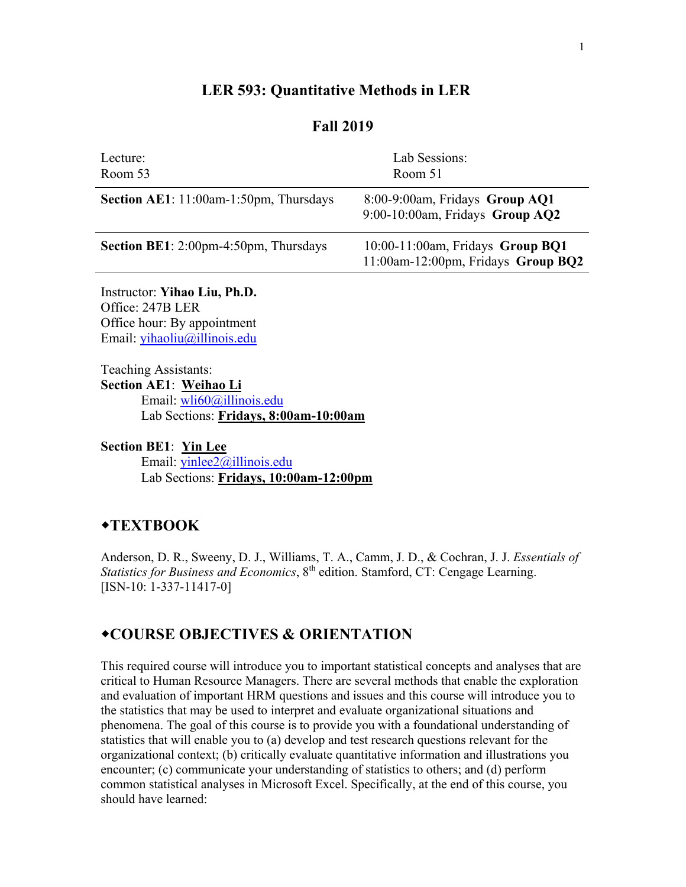#### **LER 593: Quantitative Methods in LER**

#### **Fall 2019**

| 8:00-9:00am, Fridays Group AQ1<br>9:00-10:00am, Fridays Group AO2      |
|------------------------------------------------------------------------|
| 10:00-11:00am, Fridays Group BQ1<br>11:00am-12:00pm, Fridays Group BQ2 |
|                                                                        |

Instructor: **Yihao Liu, Ph.D.** Office: 247B LER Office hour: By appointment Email: [yihaoliu@illinois.edu](mailto:yihaoliu@illinois.edu)

Teaching Assistants: **Section AE1**: **Weihao Li** Email: [wli60@illinois.edu](mailto:wli60@illinois.edu) Lab Sections: **Fridays, 8:00am-10:00am**

#### **Section BE1**: **Yin Lee**

Email: [yinlee2@illinois.edu](mailto:yinlee2@illinois.edu) Lab Sections: **Fridays, 10:00am-12:00pm**

## **TEXTBOOK**

Anderson, D. R., Sweeny, D. J., Williams, T. A., Camm, J. D., & Cochran, J. J. *Essentials of Statistics for Business and Economics*, 8<sup>th</sup> edition. Stamford, CT: Cengage Learning. [ISN-10: 1-337-11417-0]

## **COURSE OBJECTIVES & ORIENTATION**

This required course will introduce you to important statistical concepts and analyses that are critical to Human Resource Managers. There are several methods that enable the exploration and evaluation of important HRM questions and issues and this course will introduce you to the statistics that may be used to interpret and evaluate organizational situations and phenomena. The goal of this course is to provide you with a foundational understanding of statistics that will enable you to (a) develop and test research questions relevant for the organizational context; (b) critically evaluate quantitative information and illustrations you encounter; (c) communicate your understanding of statistics to others; and (d) perform common statistical analyses in Microsoft Excel. Specifically, at the end of this course, you should have learned: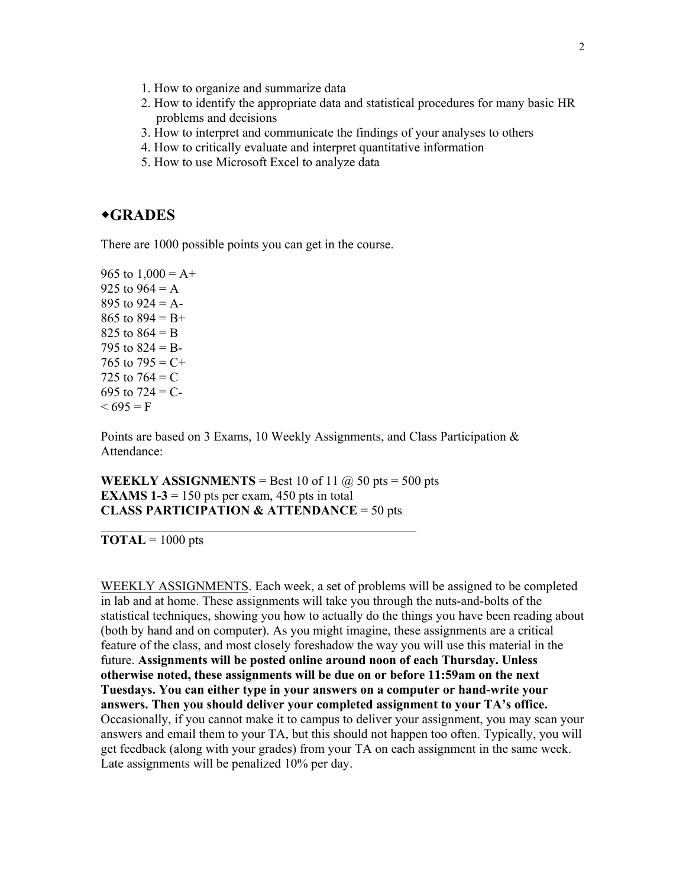- 1. How to organize and summarize data
- 2. How to identify the appropriate data and statistical procedures for many basic HR problems and decisions
- 3. How to interpret and communicate the findings of your analyses to others
- 4. How to critically evaluate and interpret quantitative information
- 5. How to use Microsoft Excel to analyze data

#### **GRADES**

There are 1000 possible points you can get in the course.

965 to  $1,000 = A +$ 925 to  $964 = A$ 895 to  $924 = A$ -865 to  $894 = B +$ 825 to  $864 = B$ 795 to  $824 = B$ -765 to  $795 = C +$ 725 to  $764 = C$ 695 to  $724 = C$ - $< 695 = F$ 

Points are based on 3 Exams, 10 Weekly Assignments, and Class Participation & Attendance:

**WEEKLY ASSIGNMENTS** = Best 10 of 11  $\omega$  50 pts = 500 pts **EXAMS 1-3** = 150 pts per exam, 450 pts in total **CLASS PARTICIPATION & ATTENDANCE** = 50 pts

\_\_\_\_\_\_\_\_\_\_\_\_\_\_\_\_\_\_\_\_\_\_\_\_\_\_\_\_\_\_\_\_\_\_\_\_\_\_\_\_\_\_\_\_\_\_\_\_\_

 $\textbf{TOTAL} = 1000 \text{ pts}$ 

WEEKLY ASSIGNMENTS. Each week, a set of problems will be assigned to be completed in lab and at home. These assignments will take you through the nuts-and-bolts of the statistical techniques, showing you how to actually do the things you have been reading about (both by hand and on computer). As you might imagine, these assignments are a critical feature of the class, and most closely foreshadow the way you will use this material in the future. **Assignments will be posted online around noon of each Thursday. Unless otherwise noted, these assignments will be due on or before 11:59am on the next Tuesdays. You can either type in your answers on a computer or hand-write your answers. Then you should deliver your completed assignment to your TA's office.** Occasionally, if you cannot make it to campus to deliver your assignment, you may scan your answers and email them to your TA, but this should not happen too often. Typically, you will get feedback (along with your grades) from your TA on each assignment in the same week. Late assignments will be penalized 10% per day.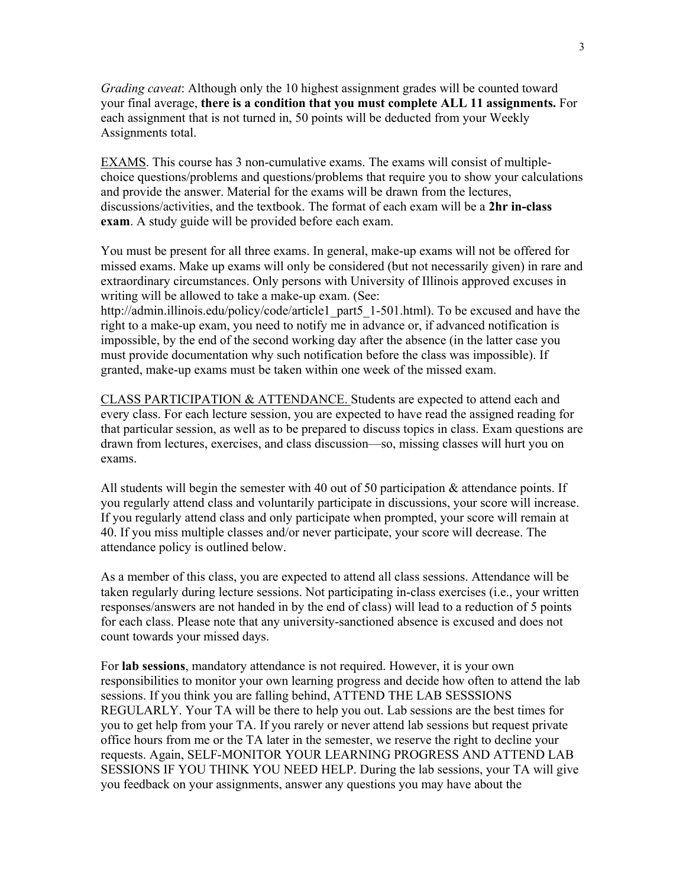*Grading caveat*: Although only the 10 highest assignment grades will be counted toward your final average, **there is a condition that you must complete ALL 11 assignments.** For each assignment that is not turned in, 50 points will be deducted from your Weekly Assignments total.

EXAMS. This course has 3 non-cumulative exams. The exams will consist of multiplechoice questions/problems and questions/problems that require you to show your calculations and provide the answer. Material for the exams will be drawn from the lectures, discussions/activities, and the textbook. The format of each exam will be a **2hr in-class exam**. A study guide will be provided before each exam.

You must be present for all three exams. In general, make-up exams will not be offered for missed exams. Make up exams will only be considered (but not necessarily given) in rare and extraordinary circumstances. Only persons with University of Illinois approved excuses in writing will be allowed to take a make-up exam. (See:

http://admin.illinois.edu/policy/code/article1\_part5\_1-501.html). To be excused and have the right to a make-up exam, you need to notify me in advance or, if advanced notification is impossible, by the end of the second working day after the absence (in the latter case you must provide documentation why such notification before the class was impossible). If granted, make-up exams must be taken within one week of the missed exam.

CLASS PARTICIPATION & ATTENDANCE. Students are expected to attend each and every class. For each lecture session, you are expected to have read the assigned reading for that particular session, as well as to be prepared to discuss topics in class. Exam questions are drawn from lectures, exercises, and class discussion—so, missing classes will hurt you on exams.

All students will begin the semester with 40 out of 50 participation & attendance points. If you regularly attend class and voluntarily participate in discussions, your score will increase. If you regularly attend class and only participate when prompted, your score will remain at 40. If you miss multiple classes and/or never participate, your score will decrease. The attendance policy is outlined below.

As a member of this class, you are expected to attend all class sessions. Attendance will be taken regularly during lecture sessions. Not participating in-class exercises (i.e., your written responses/answers are not handed in by the end of class) will lead to a reduction of 5 points for each class. Please note that any university-sanctioned absence is excused and does not count towards your missed days.

For **lab sessions**, mandatory attendance is not required. However, it is your own responsibilities to monitor your own learning progress and decide how often to attend the lab sessions. If you think you are falling behind, ATTEND THE LAB SESSSIONS REGULARLY. Your TA will be there to help you out. Lab sessions are the best times for you to get help from your TA. If you rarely or never attend lab sessions but request private office hours from me or the TA later in the semester, we reserve the right to decline your requests. Again, SELF-MONITOR YOUR LEARNING PROGRESS AND ATTEND LAB SESSIONS IF YOU THINK YOU NEED HELP. During the lab sessions, your TA will give you feedback on your assignments, answer any questions you may have about the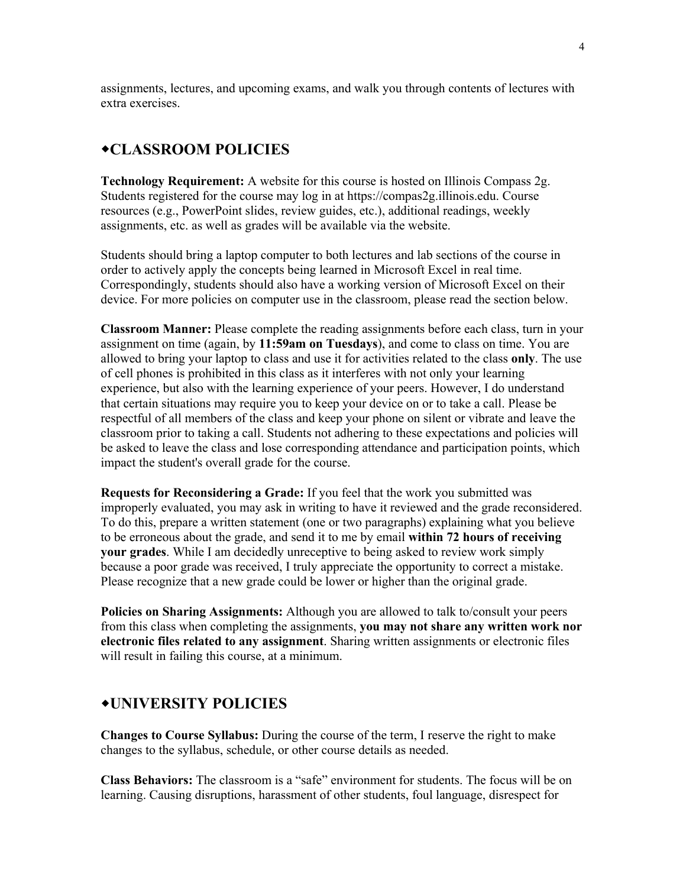assignments, lectures, and upcoming exams, and walk you through contents of lectures with extra exercises.

# **CLASSROOM POLICIES**

**Technology Requirement:** A website for this course is hosted on Illinois Compass 2g. Students registered for the course may log in at https://compas2g.illinois.edu. Course resources (e.g., PowerPoint slides, review guides, etc.), additional readings, weekly assignments, etc. as well as grades will be available via the website.

Students should bring a laptop computer to both lectures and lab sections of the course in order to actively apply the concepts being learned in Microsoft Excel in real time. Correspondingly, students should also have a working version of Microsoft Excel on their device. For more policies on computer use in the classroom, please read the section below.

**Classroom Manner:** Please complete the reading assignments before each class, turn in your assignment on time (again, by **11:59am on Tuesdays**), and come to class on time. You are allowed to bring your laptop to class and use it for activities related to the class **only**. The use of cell phones is prohibited in this class as it interferes with not only your learning experience, but also with the learning experience of your peers. However, I do understand that certain situations may require you to keep your device on or to take a call. Please be respectful of all members of the class and keep your phone on silent or vibrate and leave the classroom prior to taking a call. Students not adhering to these expectations and policies will be asked to leave the class and lose corresponding attendance and participation points, which impact the student's overall grade for the course.

**Requests for Reconsidering a Grade:** If you feel that the work you submitted was improperly evaluated, you may ask in writing to have it reviewed and the grade reconsidered. To do this, prepare a written statement (one or two paragraphs) explaining what you believe to be erroneous about the grade, and send it to me by email **within 72 hours of receiving your grades**. While I am decidedly unreceptive to being asked to review work simply because a poor grade was received, I truly appreciate the opportunity to correct a mistake. Please recognize that a new grade could be lower or higher than the original grade.

**Policies on Sharing Assignments:** Although you are allowed to talk to/consult your peers from this class when completing the assignments, **you may not share any written work nor electronic files related to any assignment**. Sharing written assignments or electronic files will result in failing this course, at a minimum.

## **UNIVERSITY POLICIES**

**Changes to Course Syllabus:** During the course of the term, I reserve the right to make changes to the syllabus, schedule, or other course details as needed.

**Class Behaviors:** The classroom is a "safe" environment for students. The focus will be on learning. Causing disruptions, harassment of other students, foul language, disrespect for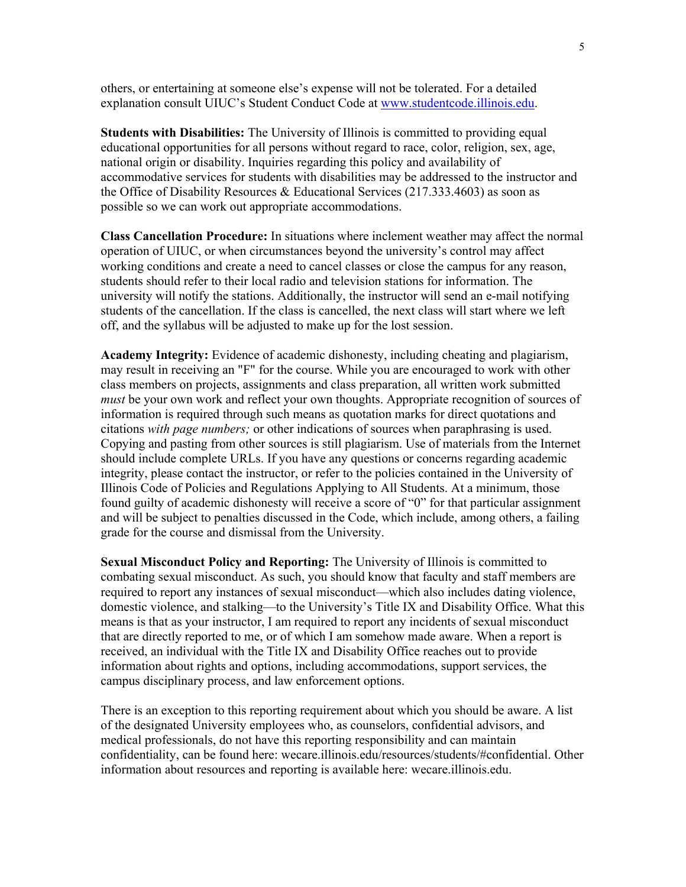others, or entertaining at someone else's expense will not be tolerated. For a detailed explanation consult UIUC's Student Conduct Code at [www.studentcode.illinois.edu.](http://www.studentcode.illinois.edu/)

**Students with Disabilities:** The University of Illinois is committed to providing equal educational opportunities for all persons without regard to race, color, religion, sex, age, national origin or disability. Inquiries regarding this policy and availability of accommodative services for students with disabilities may be addressed to the instructor and the Office of Disability Resources & Educational Services (217.333.4603) as soon as possible so we can work out appropriate accommodations.

**Class Cancellation Procedure:** In situations where inclement weather may affect the normal operation of UIUC, or when circumstances beyond the university's control may affect working conditions and create a need to cancel classes or close the campus for any reason, students should refer to their local radio and television stations for information. The university will notify the stations. Additionally, the instructor will send an e-mail notifying students of the cancellation. If the class is cancelled, the next class will start where we left off, and the syllabus will be adjusted to make up for the lost session.

**Academy Integrity:** Evidence of academic dishonesty, including cheating and plagiarism, may result in receiving an "F" for the course. While you are encouraged to work with other class members on projects, assignments and class preparation, all written work submitted *must* be your own work and reflect your own thoughts. Appropriate recognition of sources of information is required through such means as quotation marks for direct quotations and citations *with page numbers;* or other indications of sources when paraphrasing is used. Copying and pasting from other sources is still plagiarism. Use of materials from the Internet should include complete URLs. If you have any questions or concerns regarding academic integrity, please contact the instructor, or refer to the policies contained in the University of Illinois Code of Policies and Regulations Applying to All Students. At a minimum, those found guilty of academic dishonesty will receive a score of "0" for that particular assignment and will be subject to penalties discussed in the Code, which include, among others, a failing grade for the course and dismissal from the University.

**Sexual Misconduct Policy and Reporting:** The University of Illinois is committed to combating sexual misconduct. As such, you should know that faculty and staff members are required to report any instances of sexual misconduct—which also includes dating violence, domestic violence, and stalking—to the University's Title IX and Disability Office. What this means is that as your instructor, I am required to report any incidents of sexual misconduct that are directly reported to me, or of which I am somehow made aware. When a report is received, an individual with the Title IX and Disability Office reaches out to provide information about rights and options, including accommodations, support services, the campus disciplinary process, and law enforcement options.

There is an exception to this reporting requirement about which you should be aware. A list of the designated University employees who, as counselors, confidential advisors, and medical professionals, do not have this reporting responsibility and can maintain confidentiality, can be found here: [wecare.illinois.edu/resources/students/#confidential.](http://wecare.illinois.edu/resources/students/#confidential) Other information about resources and reporting is available here: [wecare.illinois.edu.](http://wecare.illinois.edu/)